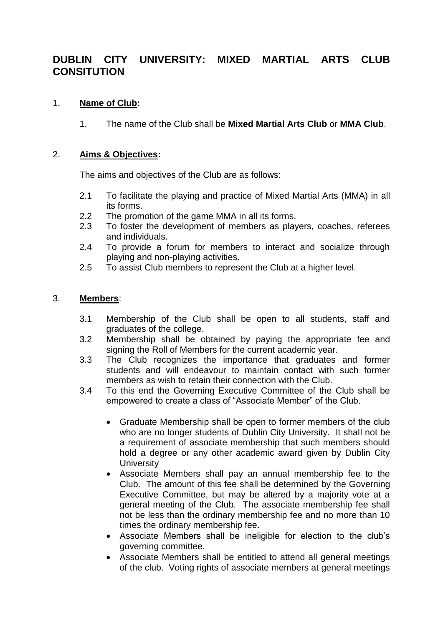# **DUBLIN CITY UNIVERSITY: MIXED MARTIAL ARTS CLUB CONSITUTION**

# 1. **Name of Club:**

1. The name of the Club shall be **Mixed Martial Arts Club** or **MMA Club**.

#### 2. **Aims & Objectives:**

The aims and objectives of the Club are as follows:

- 2.1 To facilitate the playing and practice of Mixed Martial Arts (MMA) in all its forms.
- 2.2 The promotion of the game MMA in all its forms.
- 2.3 To foster the development of members as players, coaches, referees and individuals.
- 2.4 To provide a forum for members to interact and socialize through playing and non-playing activities.
- 2.5 To assist Club members to represent the Club at a higher level.

# 3. **Members**:

- 3.1 Membership of the Club shall be open to all students, staff and graduates of the college.
- 3.2 Membership shall be obtained by paying the appropriate fee and signing the Roll of Members for the current academic year.
- 3.3 The Club recognizes the importance that graduates and former students and will endeavour to maintain contact with such former members as wish to retain their connection with the Club.
- 3.4 To this end the Governing Executive Committee of the Club shall be empowered to create a class of "Associate Member" of the Club.
	- Graduate Membership shall be open to former members of the club who are no longer students of Dublin City University. It shall not be a requirement of associate membership that such members should hold a degree or any other academic award given by Dublin City **University**
	- Associate Members shall pay an annual membership fee to the Club. The amount of this fee shall be determined by the Governing Executive Committee, but may be altered by a majority vote at a general meeting of the Club. The associate membership fee shall not be less than the ordinary membership fee and no more than 10 times the ordinary membership fee.
	- Associate Members shall be ineligible for election to the club's governing committee.
	- Associate Members shall be entitled to attend all general meetings of the club. Voting rights of associate members at general meetings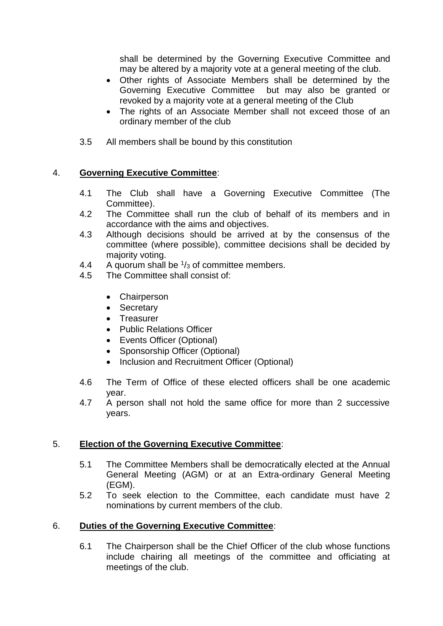shall be determined by the Governing Executive Committee and may be altered by a majority vote at a general meeting of the club.

- Other rights of Associate Members shall be determined by the Governing Executive Committee but may also be granted or revoked by a majority vote at a general meeting of the Club
- The rights of an Associate Member shall not exceed those of an ordinary member of the club
- 3.5 All members shall be bound by this constitution

# 4. **Governing Executive Committee**:

- 4.1 The Club shall have a Governing Executive Committee (The Committee).
- 4.2 The Committee shall run the club of behalf of its members and in accordance with the aims and objectives.
- 4.3 Although decisions should be arrived at by the consensus of the committee (where possible), committee decisions shall be decided by majority voting.
- 4.4 A quorum shall be  $\frac{1}{3}$  of committee members.
- 4.5 The Committee shall consist of:
	- Chairperson
	- Secretary
	- Treasurer
	- Public Relations Officer
	- Events Officer (Optional)
	- Sponsorship Officer (Optional)
	- Inclusion and Recruitment Officer (Optional)
- 4.6 The Term of Office of these elected officers shall be one academic year.
- 4.7 A person shall not hold the same office for more than 2 successive years.

#### 5. **Election of the Governing Executive Committee**:

- 5.1 The Committee Members shall be democratically elected at the Annual General Meeting (AGM) or at an Extra-ordinary General Meeting (EGM).
- 5.2 To seek election to the Committee, each candidate must have 2 nominations by current members of the club.

#### 6. **Duties of the Governing Executive Committee**:

6.1 The Chairperson shall be the Chief Officer of the club whose functions include chairing all meetings of the committee and officiating at meetings of the club.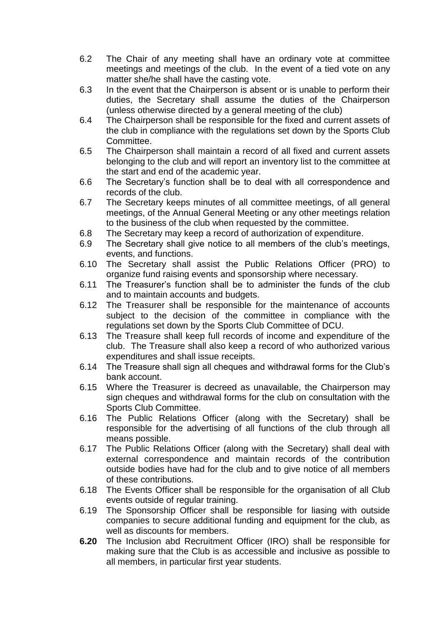- 6.2 The Chair of any meeting shall have an ordinary vote at committee meetings and meetings of the club. In the event of a tied vote on any matter she/he shall have the casting vote.
- 6.3 In the event that the Chairperson is absent or is unable to perform their duties, the Secretary shall assume the duties of the Chairperson (unless otherwise directed by a general meeting of the club)
- 6.4 The Chairperson shall be responsible for the fixed and current assets of the club in compliance with the regulations set down by the Sports Club Committee.
- 6.5 The Chairperson shall maintain a record of all fixed and current assets belonging to the club and will report an inventory list to the committee at the start and end of the academic year.
- 6.6 The Secretary's function shall be to deal with all correspondence and records of the club.
- 6.7 The Secretary keeps minutes of all committee meetings, of all general meetings, of the Annual General Meeting or any other meetings relation to the business of the club when requested by the committee.
- 6.8 The Secretary may keep a record of authorization of expenditure.
- 6.9 The Secretary shall give notice to all members of the club's meetings, events, and functions.
- 6.10 The Secretary shall assist the Public Relations Officer (PRO) to organize fund raising events and sponsorship where necessary.
- 6.11 The Treasurer's function shall be to administer the funds of the club and to maintain accounts and budgets.
- 6.12 The Treasurer shall be responsible for the maintenance of accounts subject to the decision of the committee in compliance with the regulations set down by the Sports Club Committee of DCU.
- 6.13 The Treasure shall keep full records of income and expenditure of the club. The Treasure shall also keep a record of who authorized various expenditures and shall issue receipts.
- 6.14 The Treasure shall sign all cheques and withdrawal forms for the Club's bank account.
- 6.15 Where the Treasurer is decreed as unavailable, the Chairperson may sign cheques and withdrawal forms for the club on consultation with the Sports Club Committee.
- 6.16 The Public Relations Officer (along with the Secretary) shall be responsible for the advertising of all functions of the club through all means possible.
- 6.17 The Public Relations Officer (along with the Secretary) shall deal with external correspondence and maintain records of the contribution outside bodies have had for the club and to give notice of all members of these contributions.
- 6.18 The Events Officer shall be responsible for the organisation of all Club events outside of regular training.
- 6.19 The Sponsorship Officer shall be responsible for liasing with outside companies to secure additional funding and equipment for the club, as well as discounts for members.
- **6.20** The Inclusion abd Recruitment Officer (IRO) shall be responsible for making sure that the Club is as accessible and inclusive as possible to all members, in particular first year students.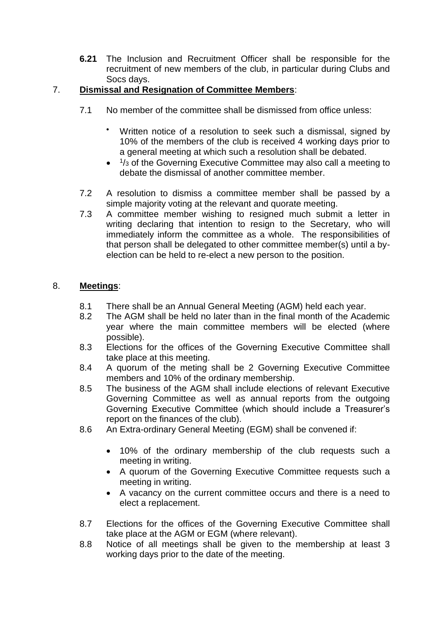**6.21** The Inclusion and Recruitment Officer shall be responsible for the recruitment of new members of the club, in particular during Clubs and Socs days.

# 7. **Dismissal and Resignation of Committee Members**:

- 7.1 No member of the committee shall be dismissed from office unless:
	- Written notice of a resolution to seek such a dismissal, signed by 10% of the members of the club is received 4 working days prior to a general meeting at which such a resolution shall be debated.
	- <sup>1</sup>/<sub>3</sub> of the Governing Executive Committee may also call a meeting to debate the dismissal of another committee member.
- 7.2 A resolution to dismiss a committee member shall be passed by a simple majority voting at the relevant and quorate meeting.
- 7.3 A committee member wishing to resigned much submit a letter in writing declaring that intention to resign to the Secretary, who will immediately inform the committee as a whole. The responsibilities of that person shall be delegated to other committee member(s) until a byelection can be held to re-elect a new person to the position.

# 8. **Meetings**:

- 8.1 There shall be an Annual General Meeting (AGM) held each year.
- 8.2 The AGM shall be held no later than in the final month of the Academic year where the main committee members will be elected (where possible).
- 8.3 Elections for the offices of the Governing Executive Committee shall take place at this meeting.
- 8.4 A quorum of the meting shall be 2 Governing Executive Committee members and 10% of the ordinary membership.
- 8.5 The business of the AGM shall include elections of relevant Executive Governing Committee as well as annual reports from the outgoing Governing Executive Committee (which should include a Treasurer's report on the finances of the club).
- 8.6 An Extra-ordinary General Meeting (EGM) shall be convened if:
	- 10% of the ordinary membership of the club requests such a meeting in writing.
	- A quorum of the Governing Executive Committee requests such a meeting in writing.
	- A vacancy on the current committee occurs and there is a need to elect a replacement.
- 8.7 Elections for the offices of the Governing Executive Committee shall take place at the AGM or EGM (where relevant).
- 8.8 Notice of all meetings shall be given to the membership at least 3 working days prior to the date of the meeting.